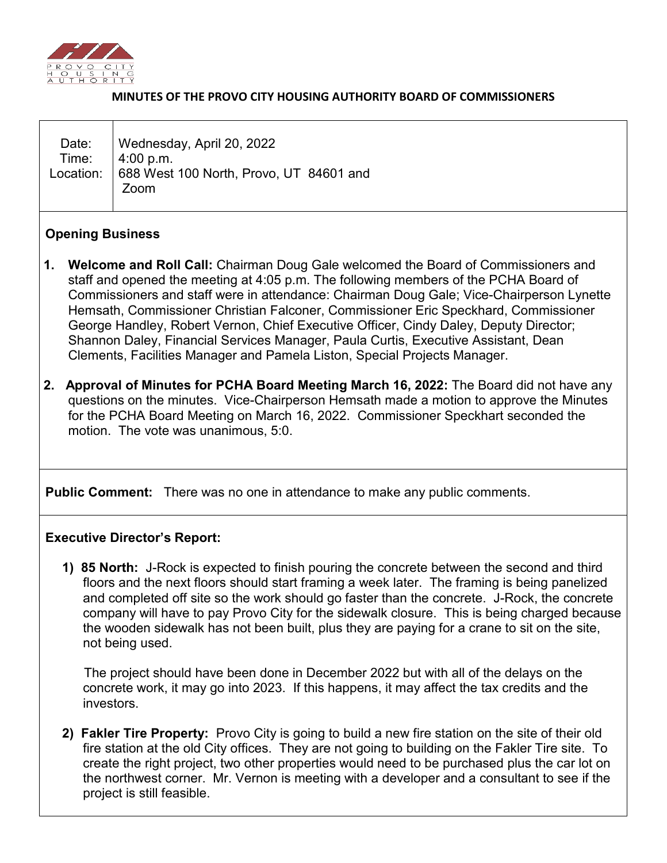

#### **MINUTES OF THE PROVO CITY HOUSING AUTHORITY BOARD OF COMMISSIONERS**

### **Opening Business**

- **1. Welcome and Roll Call:** Chairman Doug Gale welcomed the Board of Commissioners and staff and opened the meeting at 4:05 p.m. The following members of the PCHA Board of Commissioners and staff were in attendance: Chairman Doug Gale; Vice-Chairperson Lynette Hemsath, Commissioner Christian Falconer, Commissioner Eric Speckhard, Commissioner George Handley, Robert Vernon, Chief Executive Officer, Cindy Daley, Deputy Director; Shannon Daley, Financial Services Manager, Paula Curtis, Executive Assistant, Dean Clements, Facilities Manager and Pamela Liston, Special Projects Manager.
- **2. Approval of Minutes for PCHA Board Meeting March 16, 2022:** The Board did not have any questions on the minutes. Vice-Chairperson Hemsath made a motion to approve the Minutes for the PCHA Board Meeting on March 16, 2022. Commissioner Speckhart seconded the motion. The vote was unanimous, 5:0.

**Public Comment:** There was no one in attendance to make any public comments.

### **Executive Director's Report:**

 **1) 85 North:** J-Rock is expected to finish pouring the concrete between the second and third floors and the next floors should start framing a week later. The framing is being panelized and completed off site so the work should go faster than the concrete. J-Rock, the concrete company will have to pay Provo City for the sidewalk closure. This is being charged because the wooden sidewalk has not been built, plus they are paying for a crane to sit on the site, not being used.

 The project should have been done in December 2022 but with all of the delays on the concrete work, it may go into 2023. If this happens, it may affect the tax credits and the investors.

 **2) Fakler Tire Property:** Provo City is going to build a new fire station on the site of their old fire station at the old City offices. They are not going to building on the Fakler Tire site. To create the right project, two other properties would need to be purchased plus the car lot on the northwest corner. Mr. Vernon is meeting with a developer and a consultant to see if the project is still feasible.